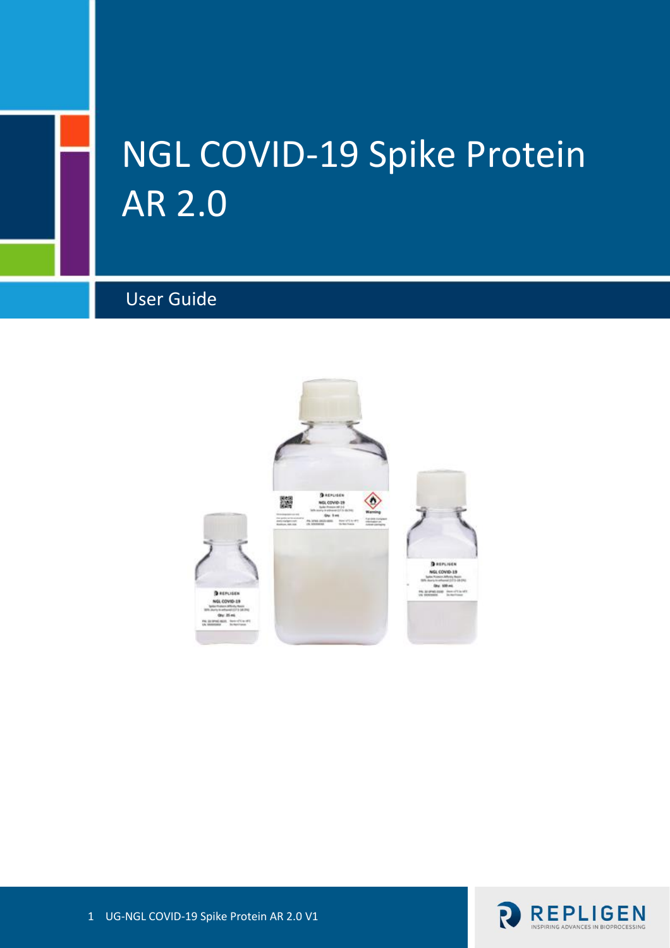# NGL COVID-19 Spike Protein AR 2.0

# User Guide



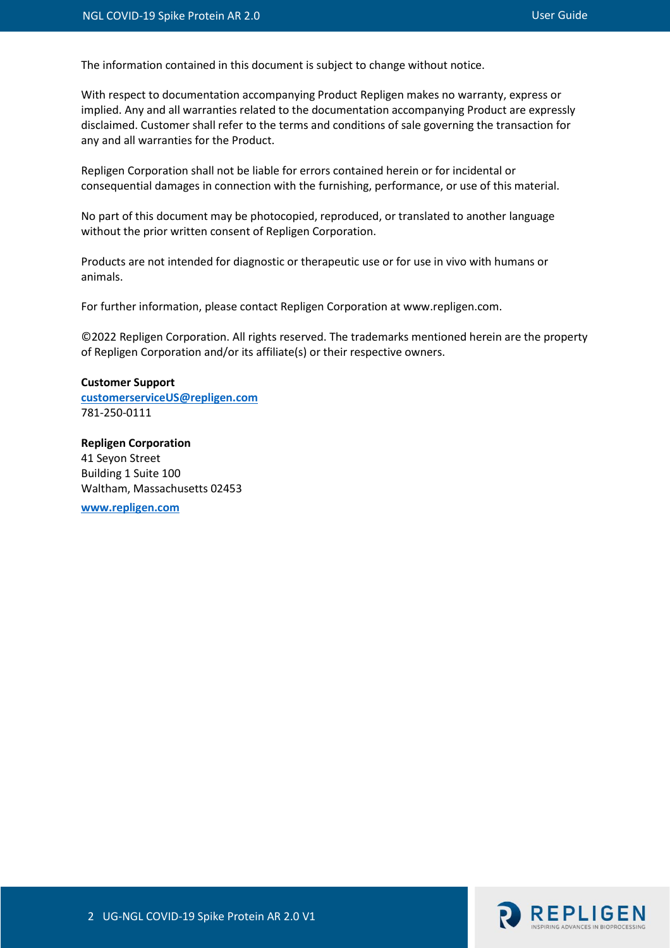The information contained in this document is subject to change without notice.

With respect to documentation accompanying Product Repligen makes no warranty, express or implied. Any and all warranties related to the documentation accompanying Product are expressly disclaimed. Customer shall refer to the terms and conditions of sale governing the transaction for any and all warranties for the Product.

Repligen Corporation shall not be liable for errors contained herein or for incidental or consequential damages in connection with the furnishing, performance, or use of this material.

No part of this document may be photocopied, reproduced, or translated to another language without the prior written consent of Repligen Corporation.

Products are not intended for diagnostic or therapeutic use or for use in vivo with humans or animals.

For further information, please contact Repligen Corporation at www.repligen.com.

©2022 Repligen Corporation. All rights reserved. The trademarks mentioned herein are the property of Repligen Corporation and/or its affiliate(s) or their respective owners.

**Customer Support [customerserviceUS@repligen.com](mailto:customerserviceUS@repligen.com)** 781-250-0111

**Repligen Corporation** 41 Seyon Street Building 1 Suite 100 Waltham, Massachusetts 02453

**[www.repligen.com](http://www.repligen.com/)**

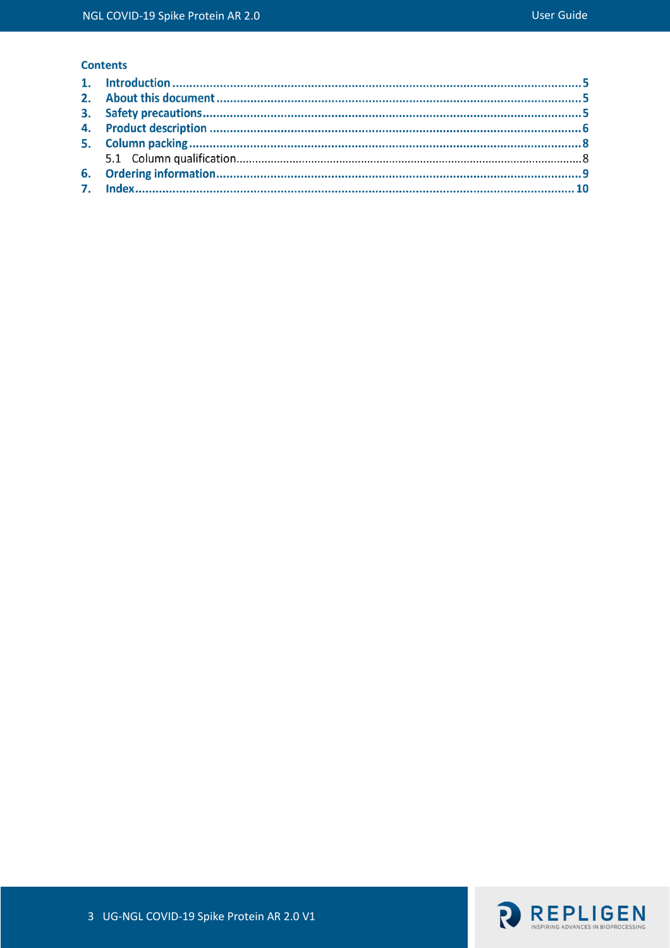## **Contents**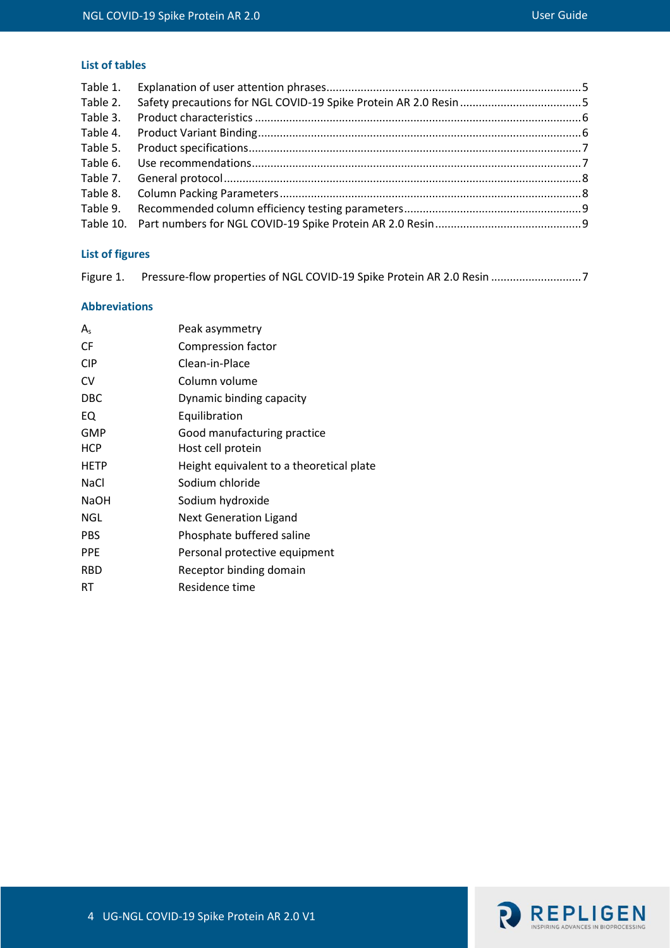## **List of tables**

| Table 1. |  |
|----------|--|
| Table 2. |  |
| Table 3. |  |
| Table 4. |  |
| Table 5. |  |
| Table 6. |  |
|          |  |
|          |  |
| Table 9. |  |
|          |  |
|          |  |

## **List of figures**

[Figure 1. Pressure-flow properties of NGL COVID-19 Spike Protein AR 2.0 Resin](#page-6-2) ...............................7

#### **Abbreviations**

| A           | Peak asymmetry                           |
|-------------|------------------------------------------|
| CF          | Compression factor                       |
| <b>CIP</b>  | Clean-in-Place                           |
| CV          | Column volume                            |
| DBC         | Dynamic binding capacity                 |
| EQ.         | Equilibration                            |
| GMP         | Good manufacturing practice              |
| <b>HCP</b>  | Host cell protein                        |
| <b>HETP</b> | Height equivalent to a theoretical plate |
| NaCl        | Sodium chloride                          |
| <b>NaOH</b> | Sodium hydroxide                         |
| NGL         | <b>Next Generation Ligand</b>            |
| <b>PBS</b>  | Phosphate buffered saline                |
| <b>PPE</b>  | Personal protective equipment            |
| <b>RBD</b>  | Receptor binding domain                  |
| RT          | Residence time                           |
|             |                                          |

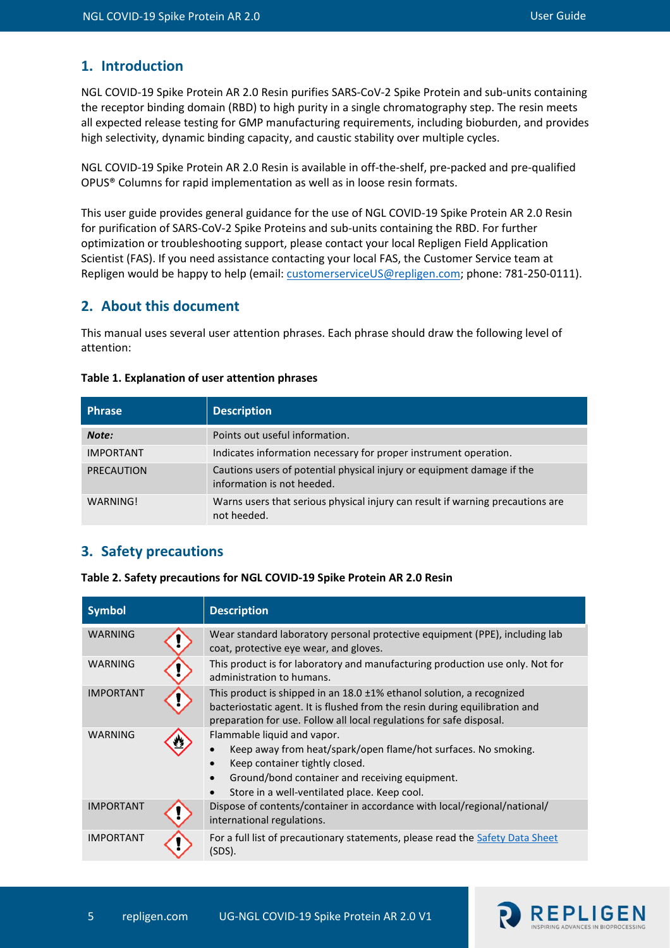## **1. Introduction**

NGL COVID-19 Spike Protein AR 2.0 Resin purifies SARS-CoV-2 Spike Protein and sub-units containing the receptor binding domain (RBD) to high purity in a single chromatography step. The resin meets all expected release testing for GMP manufacturing requirements, including bioburden, and provides high selectivity, dynamic binding capacity, and caustic stability over multiple cycles.

NGL COVID-19 Spike Protein AR 2.0 Resin is available in off-the-shelf, pre-packed and pre-qualified OPUS® Columns for rapid implementation as well as in loose resin formats.

This user guide provides general guidance for the use of NGL COVID-19 Spike Protein AR 2.0 Resin for purification of SARS-CoV-2 Spike Proteins and sub-units containing the RBD. For further optimization or troubleshooting support, please contact your local Repligen Field Application Scientist (FAS). If you need assistance contacting your local FAS, the Customer Service team at Repligen would be happy to help (email[: customerserviceUS@repligen.com;](mailto:customerserviceUS@repligen.com) phone: 781-250-0111).

## **2. About this document**

This manual uses several user attention phrases. Each phrase should draw the following level of attention:

| <b>Phrase</b>     | <b>Description</b>                                                                                   |
|-------------------|------------------------------------------------------------------------------------------------------|
| Note:             | Points out useful information.                                                                       |
| <b>IMPORTANT</b>  | Indicates information necessary for proper instrument operation.                                     |
| <b>PRECAUTION</b> | Cautions users of potential physical injury or equipment damage if the<br>information is not heeded. |
| WARNING!          | Warns users that serious physical injury can result if warning precautions are<br>not heeded.        |

#### <span id="page-4-0"></span>**Table 1. Explanation of user attention phrases**

## **3. Safety precautions**

<span id="page-4-1"></span>**Table 2. Safety precautions for NGL COVID-19 Spike Protein AR 2.0 Resin**

| <b>Symbol</b>    |  | <b>Description</b>                                                                                                                                                                                                                |  |
|------------------|--|-----------------------------------------------------------------------------------------------------------------------------------------------------------------------------------------------------------------------------------|--|
| <b>WARNING</b>   |  | Wear standard laboratory personal protective equipment (PPE), including lab<br>coat, protective eye wear, and gloves.                                                                                                             |  |
| <b>WARNING</b>   |  | This product is for laboratory and manufacturing production use only. Not for<br>administration to humans.                                                                                                                        |  |
| <b>IMPORTANT</b> |  | This product is shipped in an 18.0 ±1% ethanol solution, a recognized<br>bacteriostatic agent. It is flushed from the resin during equilibration and<br>preparation for use. Follow all local regulations for safe disposal.      |  |
| <b>WARNING</b>   |  | Flammable liquid and vapor.<br>Keep away from heat/spark/open flame/hot surfaces. No smoking.<br>Keep container tightly closed.<br>Ground/bond container and receiving equipment.<br>Store in a well-ventilated place. Keep cool. |  |
| <b>IMPORTANT</b> |  | Dispose of contents/container in accordance with local/regional/national/<br>international regulations.                                                                                                                           |  |
| <b>IMPORTANT</b> |  | For a full list of precautionary statements, please read the Safety Data Sheet<br>(SDS).                                                                                                                                          |  |

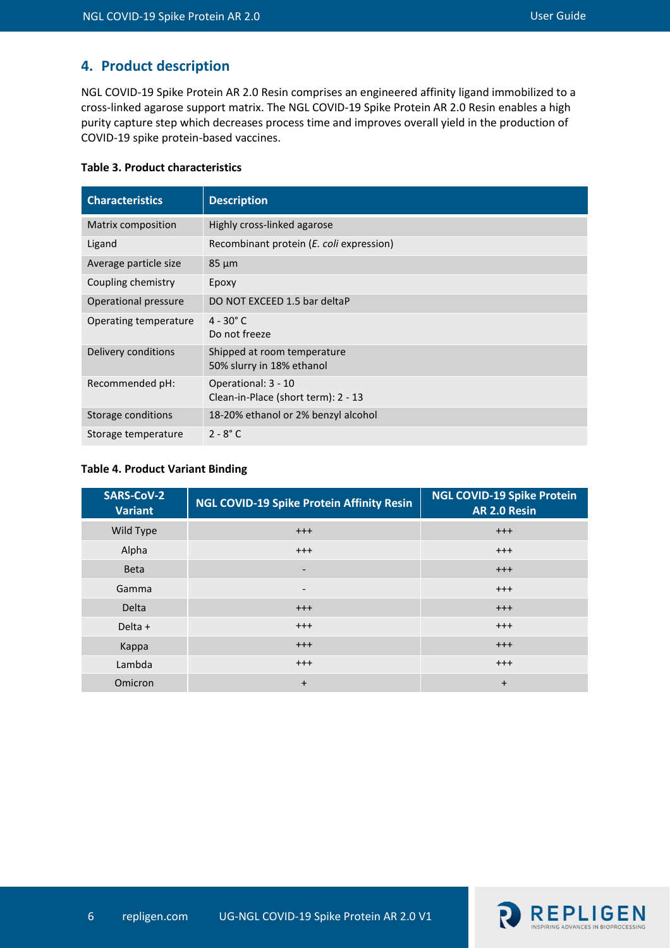## **4. Product description**

NGL COVID-19 Spike Protein AR 2.0 Resin comprises an engineered affinity ligand immobilized to a cross-linked agarose support matrix. The NGL COVID-19 Spike Protein AR 2.0 Resin enables a high purity capture step which decreases process time and improves overall yield in the production of COVID-19 spike protein-based vaccines.

#### <span id="page-5-0"></span>**Table 3. Product characteristics**

| <b>Characteristics</b> | <b>Description</b>                                         |
|------------------------|------------------------------------------------------------|
| Matrix composition     | Highly cross-linked agarose                                |
| Ligand                 | Recombinant protein (E. coli expression)                   |
| Average particle size  | $85 \mu m$                                                 |
| Coupling chemistry     | Epoxy                                                      |
| Operational pressure   | DO NOT EXCEED 1.5 bar deltaP                               |
| Operating temperature  | $4 - 30^{\circ}$ C<br>Do not freeze                        |
| Delivery conditions    | Shipped at room temperature<br>50% slurry in 18% ethanol   |
| Recommended pH:        | Operational: 3 - 10<br>Clean-in-Place (short term): 2 - 13 |
| Storage conditions     | 18-20% ethanol or 2% benzyl alcohol                        |
| Storage temperature    | $2 - 8^\circ C$                                            |

#### <span id="page-5-1"></span>**Table 4. Product Variant Binding**

| <b>SARS-CoV-2</b><br><b>Variant</b> | <b>NGL COVID-19 Spike Protein Affinity Resin</b> | <b>NGL COVID-19 Spike Protein</b><br>AR 2.0 Resin |
|-------------------------------------|--------------------------------------------------|---------------------------------------------------|
| Wild Type                           | $^{+++}$                                         | $^{+++}$                                          |
| Alpha                               | $+++$                                            | $^{+++}$                                          |
| <b>Beta</b>                         | -                                                | $^{+++}$                                          |
| Gamma                               | $\overline{\phantom{0}}$                         | $^{+++}$                                          |
| <b>Delta</b>                        | $^{+++}$                                         | $^{+++}$                                          |
| Delta +                             | $^{+++}$                                         | $^{+++}$                                          |
| Kappa                               | $^{+++}$                                         | $^{+++}$                                          |
| Lambda                              | $^{+++}$                                         | $^{+++}$                                          |
| Omicron                             | $\ddot{}$                                        | $\ddot{}$                                         |

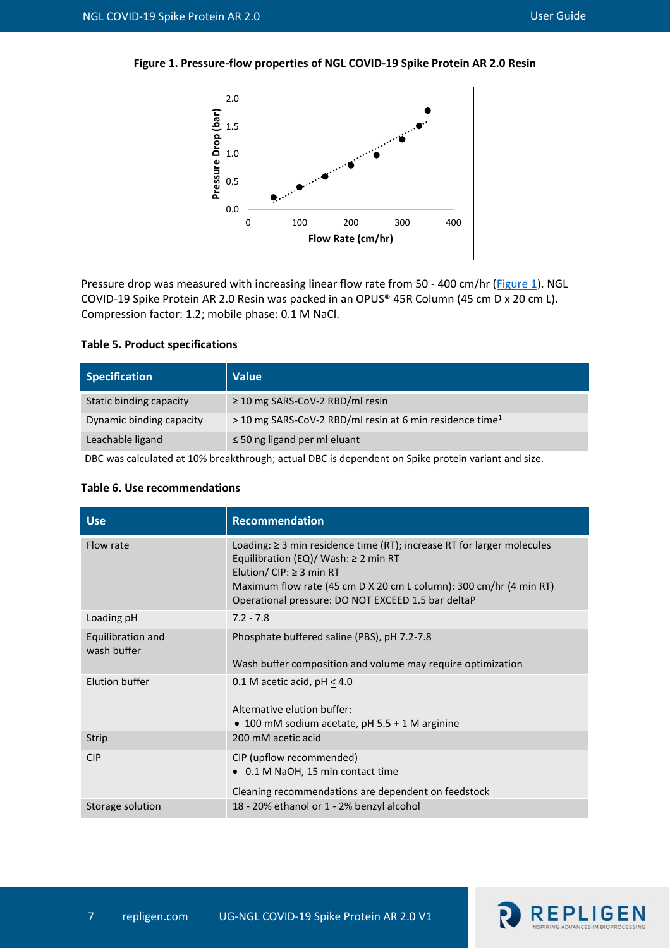<span id="page-6-3"></span><span id="page-6-2"></span>



Pressure drop was measured with increasing linear flow rate from 50 - 400 cm/hr [\(Figure 1\)](#page-6-3). NGL COVID-19 Spike Protein AR 2.0 Resin was packed in an OPUS® 45R Column (45 cm D x 20 cm L). Compression factor: 1.2; mobile phase: 0.1 M NaCl.

#### <span id="page-6-0"></span>**Table 5. Product specifications**

| <b>Specification</b>     | <b>Value</b>                                                         |
|--------------------------|----------------------------------------------------------------------|
| Static binding capacity  | $\geq$ 10 mg SARS-CoV-2 RBD/ml resin                                 |
| Dynamic binding capacity | > 10 mg SARS-CoV-2 RBD/ml resin at 6 min residence time <sup>1</sup> |
| Leachable ligand         | $\leq$ 50 ng ligand per ml eluant                                    |

<sup>1</sup>DBC was calculated at 10% breakthrough; actual DBC is dependent on Spike protein variant and size.

| <b>Use</b>                       | <b>Recommendation</b>                                                                                                                                                                                                                                                                 |
|----------------------------------|---------------------------------------------------------------------------------------------------------------------------------------------------------------------------------------------------------------------------------------------------------------------------------------|
| Flow rate                        | Loading: $\geq$ 3 min residence time (RT); increase RT for larger molecules<br>Equilibration (EQ)/ Wash: $\geq$ 2 min RT<br>Elution/ $CIP: \geq 3$ min RT<br>Maximum flow rate (45 cm D X 20 cm L column): 300 cm/hr (4 min RT)<br>Operational pressure: DO NOT EXCEED 1.5 bar deltaP |
| Loading pH                       | $7.2 - 7.8$                                                                                                                                                                                                                                                                           |
| Equilibration and<br>wash buffer | Phosphate buffered saline (PBS), pH 7.2-7.8<br>Wash buffer composition and volume may require optimization                                                                                                                                                                            |
| Elution buffer                   | 0.1 M acetic acid, $pH < 4.0$<br>Alternative elution buffer:<br>• 100 mM sodium acetate, pH $5.5 + 1$ M arginine                                                                                                                                                                      |
| <b>Strip</b>                     | 200 mM acetic acid                                                                                                                                                                                                                                                                    |
| <b>CIP</b>                       | CIP (upflow recommended)<br>• 0.1 M NaOH, 15 min contact time<br>Cleaning recommendations are dependent on feedstock                                                                                                                                                                  |
| Storage solution                 | 18 - 20% ethanol or 1 - 2% benzyl alcohol                                                                                                                                                                                                                                             |

#### <span id="page-6-1"></span>**Table 6. Use recommendations**

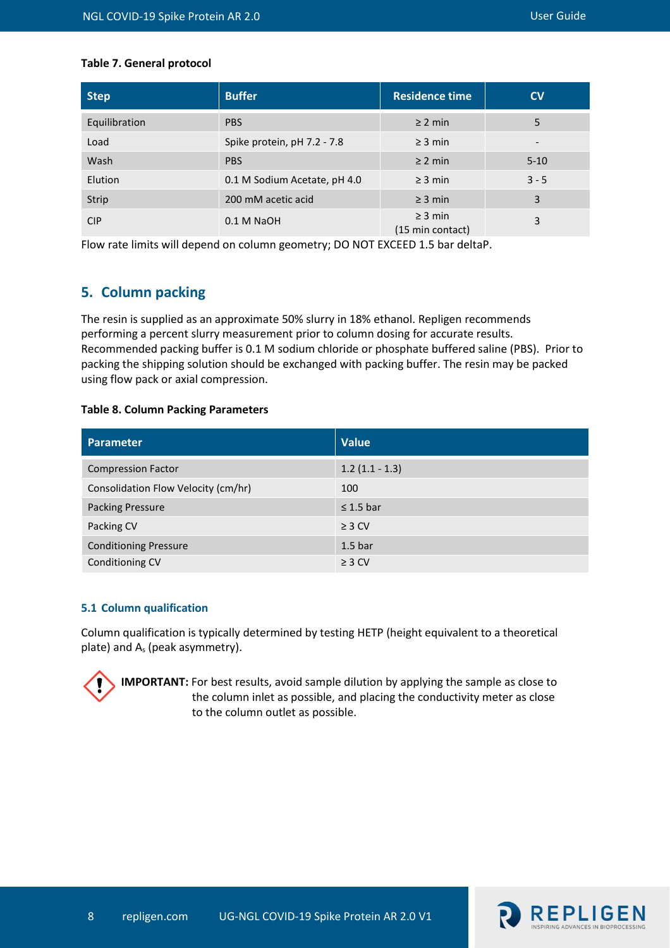#### <span id="page-7-0"></span>**Table 7. General protocol**

| <b>Step</b>   | <b>Buffer</b>                | <b>Residence time</b>            | $\mathsf{cv}$ |
|---------------|------------------------------|----------------------------------|---------------|
| Equilibration | <b>PBS</b>                   | $\geq$ 2 min                     | 5             |
| Load          | Spike protein, pH 7.2 - 7.8  | $\geq$ 3 min                     |               |
| Wash          | <b>PBS</b>                   | $\geq$ 2 min                     | $5 - 10$      |
| Elution       | 0.1 M Sodium Acetate, pH 4.0 | $\geq$ 3 min                     | $3 - 5$       |
| Strip         | 200 mM acetic acid           | $\geq$ 3 min                     | 3             |
| <b>CIP</b>    | $0.1$ M NaOH                 | $\geq$ 3 min<br>(15 min contact) | 3             |

Flow rate limits will depend on column geometry; DO NOT EXCEED 1.5 bar deltaP.

## **5. Column packing**

The resin is supplied as an approximate 50% slurry in 18% ethanol. Repligen recommends performing a percent slurry measurement prior to column dosing for accurate results. Recommended packing buffer is 0.1 M sodium chloride or phosphate buffered saline (PBS). Prior to packing the shipping solution should be exchanged with packing buffer. The resin may be packed using flow pack or axial compression.

#### <span id="page-7-1"></span>**Table 8. Column Packing Parameters**

| <b>Parameter</b>                    | <b>Value</b>       |
|-------------------------------------|--------------------|
| <b>Compression Factor</b>           | $1.2(1.1 - 1.3)$   |
| Consolidation Flow Velocity (cm/hr) | 100                |
| <b>Packing Pressure</b>             | $\leq$ 1.5 bar     |
| Packing CV                          | $\geq$ 3 CV        |
| <b>Conditioning Pressure</b>        | 1.5 <sub>bar</sub> |
| Conditioning CV                     | $\geq$ 3 CV        |

#### **5.1 Column qualification**

Column qualification is typically determined by testing HETP (height equivalent to a theoretical plate) and A<sup>s</sup> (peak asymmetry).

**IMPORTANT:** For best results, avoid sample dilution by applying the sample as close to the column inlet as possible, and placing the conductivity meter as close to the column outlet as possible.

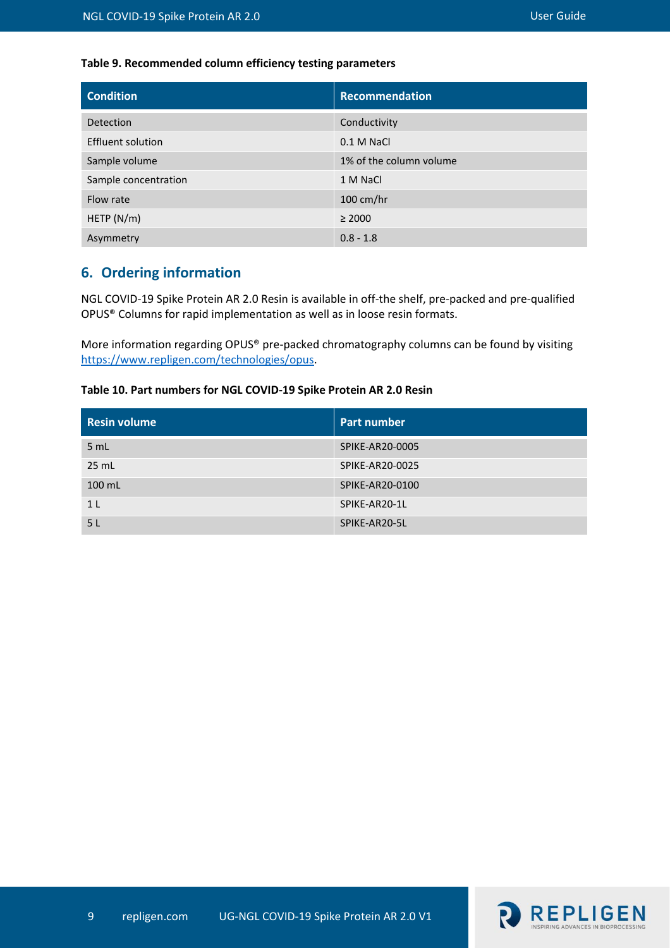### <span id="page-8-0"></span>**Table 9. Recommended column efficiency testing parameters**

| <b>Condition</b>         | <b>Recommendation</b>   |
|--------------------------|-------------------------|
| Detection                | Conductivity            |
| <b>Effluent solution</b> | 0.1 M NaCl              |
| Sample volume            | 1% of the column volume |
| Sample concentration     | 1 M NaCl                |
| Flow rate                | $100 \text{ cm/hr}$     |
| HETP $(N/m)$             | $\geq 2000$             |
| Asymmetry                | $0.8 - 1.8$             |

# **6. Ordering information**

NGL COVID-19 Spike Protein AR 2.0 Resin is available in off-the shelf, pre-packed and pre-qualified OPUS® Columns for rapid implementation as well as in loose resin formats.

More information regarding OPUS® pre-packed chromatography columns can be found by visiting [https://www.repligen.com/technologies/opus.](https://www.repligen.com/technologies/opus)

#### <span id="page-8-1"></span>**Table 10. Part numbers for NGL COVID-19 Spike Protein AR 2.0 Resin**

| <b>Resin volume</b> | <b>Part number</b> |
|---------------------|--------------------|
| 5 mL                | SPIKE-AR20-0005    |
| 25 mL               | SPIKE-AR20-0025    |
| $100$ mL            | SPIKE-AR20-0100    |
| 1 <sub>L</sub>      | SPIKE-AR20-1L      |
| 5 <sub>L</sub>      | SPIKE-AR20-5L      |